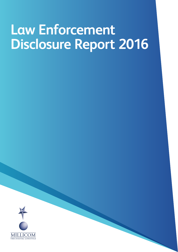## **Law Enforcement Disclosure Report 2016**

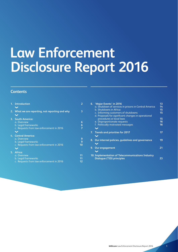### **Law Enforcement Disclosure Report 2016**

### **Contents**

| 1. | <b>Introduction</b>                                                                                     |              |
|----|---------------------------------------------------------------------------------------------------------|--------------|
| 2. | What we are reporting, not reporting and why                                                            | 3            |
| 3. | <b>South America:</b><br>a. Overview<br>b. Legal frameworks<br>c. Requests from law enforcement in 2016 | 6<br>6       |
|    | 4. Central America:<br>a. Overview<br>b. Legal frameworks<br>c. Requests from law enforcement in 2016   | 9<br>٩<br>10 |
| 5. | Africa:<br>a. Overview<br>b. Legal frameworks<br>c. Requests from law enforcement in 2016               | 11<br>12     |

| 6. | 'Major Events' in 2016                                                                | 13 |
|----|---------------------------------------------------------------------------------------|----|
|    | a. Shutdown of services in prisons in Central America                                 | 14 |
|    | b. Shutdowns in Africa                                                                | 15 |
|    | c. Informing customers of shutdowns                                                   | 15 |
|    | d. Proposals for significant changes in operational                                   |    |
|    | procedures or local laws                                                              | 15 |
|    | e. Disproportionate requests                                                          | 16 |
|    | f. Politically motivated messages                                                     | 16 |
|    |                                                                                       |    |
| 7. | <b>Trends and priorities for 2017</b>                                                 | 17 |
|    |                                                                                       |    |
| 8. | Our internal policies, quidelines and governance                                      | 19 |
|    |                                                                                       |    |
| 9. | <b>Our engagement</b>                                                                 | 21 |
|    |                                                                                       |    |
|    |                                                                                       |    |
|    | 10. Implementation of Telecommunications Industry<br><b>Dialogue (TID) principles</b> | 23 |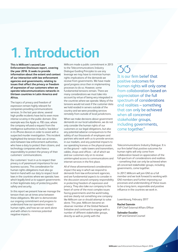### **1. Introduction**

**This is Millicom's second Law Enforcement Disclosure report, covering the year 2016. It seeks to provide information about the extent and context of our interaction with law enforcement agencies and governments, relating to issues that affect the privacy or freedom of expression of our customers when we operate telecommunications networks in thirteen countries in Latin America and Africa.** 

The topics of privacy and freedom of expression remain highly relevant for companies providing communications services. In the last year alone, several high-profile incidents have led to even more intense scrutiny in the public domain. One example was the Apple vs. FBI case, where the company refused a request from the intelligence authorities to build a 'backdoor' in its iPhone devices in order to assist with a suspected murder investigation. This incident highlighted the tension that can at times exist between law enforcement authorities, who have a duty to protect their citizens, and technology companies who have a responsibility to protect the privacy of their customers' communications.

Our customers' trust in us to respect their privacy is of paramount importance for our business success. This consideration for human rights obligations must also go hand-in-hand with our duty to respect local laws in the countries where we operate; laws which legally bind us to support governments in their legitimate duty of protecting public safety and security.

In this report we present how we manage the tension that can at times arise between these obligations. We aim to demonstrate our ongoing commitment and progress to understand how our operations impact human rights, and how we can work alone and with others to minimize potential negative impacts.

Millicom made a public commitment in 2013 to the Telecommunications Industry Dialogue Guiding Principles to use any leverage we may have to minimize human rights implications of the demands we receive from governments. We have made good progress since then in implementing processes to do so. However, some fundamental tensions remain. There are many considerations we must take into account by virtue of being very integrated in the countries where we operate. Many of the tensions would not exist if the customer data we hold resided in servers outside of the country and we were providing services remotely from outside of local jurisdictions.

When we make decisions about government demands on our local subsidiaries, we do not only consider the human rights of our customers or our legal obligations, but also any potential adverse consequences to the safety of our thousands of employees and partners who work with us to provide services in our markets, and any potential impacts to our operating licenses or the physical assets on the ground – radio towers and transmitters, cables, shops and offices – all of which we and our customers rely on to receive uninterrupted access to communications and internet services in the first place.

All of these aforementioned considerations impact the way in which we respond to demands from law enforcement agencies, and are fundamental aspects to consider in the discussion around company responsibility in protecting freedom of expression and privacy. They also take our company to the heart of some of the most complex issues facing governments and the world today, and are clearly not something one company like Millicom can or should attempt to solve alone. This year, Millicom became an observer member of the Global Network Initiative and continued to engage with a number of different stakeholder groups, directly as well as jointly with the

### $\zeta(\zeta)$

It is our firm belief that positive outcomes for human rights will only come from collaboration based on appreciation of the full spectrum of considerations and realities – something that can only be achieved when all concerned stakeholder groups, including governments, come together."

Telecommunications Industry Dialogue. It is our firm belief that positive outcomes for human rights will only come from collaboration based on appreciation of the full spectrum of considerations and realities – something that can only be achieved when all concerned stakeholder groups, including governments, come together.

In 2017, Millicom will join GNI as a full member and we look forward to working with GNI members and further improving our processes and understanding of these issues to be a long-term, responsible and positive influence in the countries we work in.

Luxembourg, February 2017

**Rachel Samrén** EVP Chief External Affairs Officer

**Salvador Escalón** EVP and General Counsel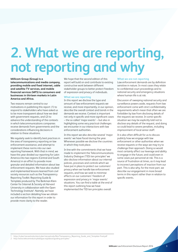## **2. What we are reporting, not reporting and why**

**Millicom Group (Group) is a telecommunications and media company, providing mobile and fixed internet, cable and satellite TV services, and mobile financial services (MFS) to consumers and businesses in thirteen markets in Latin America and Africa.** 

Two reasons remain central to our motivations in publishing this report: (1) to respond to stakeholders who have asked us to be more transparent about how we deal with government requests, and (2) to advance the understanding of the contexts in which telecommunications companies receive demands from governments and the considerations influencing decisions in relation to these situations.

We regularly seek to identify best practices in the area of transparency reporting on law enforcement assistance, and attempt to implement these norms into our own reporting framework. With that in mind, we have this year divided our reporting for Latin America into two regions (Central and South America) in an effort to provide more granular and detailed information about law enforcement requests. We have also studied and implemented lessons learned from civil society resources such as the Transparency Reporting Toolkit: Reporting Guide & Template produced by The Berkman Klein Center for Internet & Society at Harvard University in collaboration with the Open Technology Institute<sup>1</sup>. Namely, we have included a section detailing how we obtain our information for this report in order to provide more clarity to the reader.

We hope that the second edition of this report will build on and contribute to existing constructive work between different stakeholder groups to better protect freedom of expression and privacy of individuals.

#### **What we are reporting**

In this report we disclose the type and amount of law enforcement requests we receive, and more importantly, in our opinion, describe the overall context and trends in the demands we receive. Context is important not only in specific and more significant cases – the so called 'major events' – but also in highlighting some very practical challenges we encounter in our interactions with law enforcement authorities.

In this report we also describe several 'major events' we have faced during the year. Whenever possible we disclose the countries in which they took place.

In line with the commitments that we have made to implement the Telecommunications Industry Dialogue (TID) ten principles<sup>2</sup> we also disclose information about our internal policies, processes and controls which we have put in place to protect our customers' privacy when we handle law enforcement requests, and how we seek to minimise effects on our customers' freedom of expression and privacy in 'major events' situations. You can find a table at the end of this report outlining how we have implemented the TID ten principles overall.

#### **What we are not reporting**

Law enforcement demands are by definition sensitive in nature. In most cases they relate to confidential court proceedings and to national security and emergency situations where human life is at risk.

Discussion of sweeping national security and surveillance powers aside, requests from law enforcement come with strict confidentiality requirements which mean that often we are forbidden by law from disclosing details of the requests we receive. In some specific situation we may be explicitly told not to disclose any details of the request, and doing so could lead to severe penalties, including imprisonment of local senior staff.

It is also often difficult for us to discuss publicly how we engage with law enforcement or other authorities when we receive requests or the ways we may try to challenge their approach. Doing so would most certainly affect our leverage and ability to engage in the future, and could even in some cases put personnel at risk. This is a source of frustration at times, as it may lead to incorrect perceptions of inaction from our part. This is also why, for the most part, we describe our engagement in more broad terms in this report rather than in relation to specific events.

1 https://cyber.harvard.edu/sites/cyber.harvard.edu/files/Transparency\_Reporting\_Guide\_and\_Template-Final.pdf

http://www.telecomindustrydialogue.org/about/guiding-principles.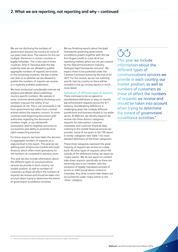We are not disclosing the numbers of government requests by country as some of our peers have done. The reasons for this are multiple. Disclosure in certain countries is legally forbidden. This is the case in three countries. Only in Tanzania does the law explicitly state we are allowed to publish aggregate numbers of requests we receive. In the remaining countries, the law is either not clear as to whether we are allowed to publish the numbers of requests we receive, or it explicitly prohibits publication.

We have conducted considerable internal risk analysis and debate about publishing country-specific numbers. We operate in some countries where publicly disclosing such numbers may put the safety of our employees at risk. This is not necessarily a risk from government but rather from criminal entities whom the requests concern. In some countries even beginning discussions with authorities regarding the disclosure of numbers might, in our risk/benefit assessment, lead to negative outcomes to our business and ability to promote more rights-respecting practices.

For these reasons, we have taken the decision to aggregate numbers of requests on a regional level in this report. This year we are splitting Latin America into Central and South America, which offers more granularity for the numbers as compared to previous years.

This year we also include information about the different types of communications services we provide in each country, our market position, as well as numbers of customers as these all affect the numbers of requests we receive and should be taken into account when trying to determine the extent of government surveillance activities.

We are finalizing reports about the legal frameworks governing government surveillance powers together with the law firm Hogan Lovells to cover all of our operating markets which are not yet covered by the Telecommunications Industry Dialogue legal frameworks resource<sup>3</sup>. We expect these to be published under the Creative Commons license by the end of Q1 2017. For this reason, we are not outlining specific laws by country as these will be included in the up-coming reports in much more detail.

#### **Definitions of different types of requests**

There continues to be no agreed or standardized definitions or ways to classify law enforcement requests across the ICT industry. Standardizing definitions is challenging given the multiple different jurisdictions and business models in our wider sector. At Millicom, we classify requests we receive into three distinct categories: requests for interception; customer metadata; and customer financial data (relating to the mobile financial services we provide). Some of our peers in the TID report in similar categories (see Table 1 for more detailed definitions of the three categories).

These three categories represent the great majority of requests we receive on a daily basis. All other types of requests, which fall outside of the definitions below, we report as 'major events'. We do not report on content take-down requests specifically as these are extremely rare in our markets, with the exception of legally mandated removal of access to child sexual abuse content in Colombia. Any other content take-downs are accounted for under major events in the 'other' category.

### $(\zeta(\zeta))$

This year we include information about the different types of communications services we provide in each country, our market position, as well as numbers of customers as these all affect the numbers of requests we receive and should be taken into account when trying to determine the extent of government surveillance activities."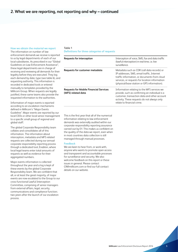#### **How we obtain the material we report**

The information on number of law enforcement demands we receive is reported to us by legal departments of each of our local subsidiaries. As prescribed in our "Global Guidelines on Law Enforcement Assistance", these legal departments are in charge of receiving and reviewing all demands for their legality before they are executed. They log each demand by date, type (see table 6), and requesting authority. This information is recorded in dedicated tools or entered manually to templates provided by the Millicom Group. When requests are legally justified, these same teams also provide the requested information to the authorities.

Information of major events is reported according to an escalation mechanisms defined in Millicom's "Major Events Guideline". Major events are reported by our local CEOs or other local senior management to a specific small group of regional and global staff.

The global Corporate Responsibility team collates and consolidates all of this information. The information about interception, metadata and MFS related requests are collected during our annual corporate responsibility reporting process through a dedicated tool, Enablon, where local legal teams enter total amounts of requests as well as evidence for their aggregated numbers.

Major events information is collected throughout the year and a log is kept of these events by the global Corporate Responsibility team. We are confident that all, or at least the great majority, of major events are now escalated to the Group to our cross-functional Lawful Interception Committee, comprising of senior managers from external affairs, legal, security, communications and compliance function; two years after the launch of our escalation process.

#### Table 1 **Definitions for three categories of requests**

| Requests for interception                                           | Interception of voice, SMS, fax and data traffic<br>(lawful interception) in real time, i.e. live<br>surveillance.                                                                                                                         |
|---------------------------------------------------------------------|--------------------------------------------------------------------------------------------------------------------------------------------------------------------------------------------------------------------------------------------|
| Requests for customer metadata                                      | Metadata such as CDR (call data records) or<br>IP addresses, SMS, email traffic, Internet<br>traffic information, or documents from cloud<br>services, or requests for location information<br>(physical/base station or GPS information). |
| <b>Requests for Mobile Financial Services</b><br>(MFS) related data | Information relating to the MFS services we<br>provide, such as confirming an individual is a<br>customer, transaction data and other account<br>activity. These requests do not always only<br>relate to financial crime.                 |

This is the first year that all of the numerical information relating to law enforcement demands was externally audited within our corporate responsibility reporting assurance carried out by EY. This makes us confident on the quality of the data we report, even when in most countries data collection is still managed through manual processes.

#### **Feedback**

We are keen to hear from, or work with, anyone who wants to promote open access and transparent and accountable processes for surveillance and security. We also welcome feedback on this report or these issues in general. Please contact CR@millicom.com or find our full contact details on our website.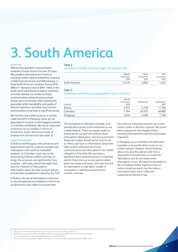## **3. South America**

#### **Overview**

Millicom has operated communications networks in South America for over 25 years. We provide a wide spectrum of services including mobile, cable and fixed line, as well as mobile financial services and B2B solutions, in three South American countries. During 2016, Millicom invested a total of \$961 million in the South and Central America regions combined to further develop our mobile and fixed communications networks and purchase further spectrum licenses. Both investments guarantee better bandwidths and quality of internet experience and allow more services and innovation to be built on top of this access.

We hold the top market position in mobile, cable and MFS in Paraguay, while we are generally the second or third biggest provider in Colombia and Bolivia. We are an important contributor to our markets, in terms of investment, taxes<sup>4</sup> and as a provider of employment and services (see table 2).

#### **Legal frameworks**

In Bolivia and Paraguay clear processes and requirements exist for judicial oversight over interception and customer metadata requests. In Colombia, much due to the long-lasting internal conflicts and war on drugs, the processes are significantly more complex – although judicial oversight does exist for initiation of interception. Information about the laws and procedures in Colombia is published in detail by the TID<sup>6</sup>.

In Bolivia, the use of interception is restricted to very exceptional circumstances in which we would receive court orders to activate lines.

#### Table 2

**Customers in South American region by business unit**

|               | Mobile    | Cable     | <b>MFS</b> |
|---------------|-----------|-----------|------------|
|               | customers | customers | customers  |
|               | 000'      | '000      | '000       |
| South America | 14.476    | 2.066     | 1.454      |

#### Table 3

#### **Customers, workforce and population in South America**

| Country  | Mobile<br>customers<br>'000 | Workforce <sup>5</sup> | Population <sup>7</sup><br>'000 |
|----------|-----------------------------|------------------------|---------------------------------|
| Bolivia  | 3.076                       | 2.718                  | 11,700                          |
| Colombia | 7.764                       | 24.918                 | 48.800                          |
| Paraguay | 3,635                       | 4.509                  | 7,100                           |

The procedures in Colombia mandate us to provide direct access to the authorities to our mobile network. There are regular audits to ensure we do not gain information about interception taking place, and strong sanctions (fines) are in place should we be found to do so. Hence, we have no information about how often and for what periods of time communications are intercepted in our mobile networks in Colombia. We also have a significant fixed network business in Colombia and for these lines we receive judicial orders which we review and assess, and open the line for interception to take place. Length of interception is defined at maximum six months in the law.

For customer metadata requests, we receive written orders in all three countries. We assess these requests for their legality before providing the authorities with the information requested.

In Paraguay, as in Colombia, the authorities mandate us to provide direct access to our mobile network. However, the procedures allow us to view the judicial order that is required for the authorities to initiate the interception and we are aware when interception occurs. We have the possibility to file a complaint before Supreme Court of Justice should we deem that the order or interception does not to follow the requirements defined in law.

4 We report income taxes paid by region in our Annual report 2016, page 23<br>5 Workforce accounts for both employees directly employed by Millicom and

Workforce accounts for both employees directly employed by Millicom and outsourced workers.

http://www.telecomindustrydialogue.org/resources/colombia/

The source for all population data in this report is the International Monetary Fund (IMF), 2015.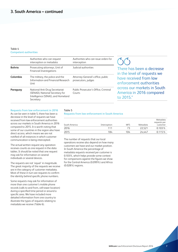#### Table 4 **Competent authorities**

|                | Authorities who can request<br>interception or metadata                                                              | Authorities who can issue orders for<br>interception     |
|----------------|----------------------------------------------------------------------------------------------------------------------|----------------------------------------------------------|
| <b>Bolivia</b> | Prosecuting attorneys, Unit of<br><b>Financial Investigations</b>                                                    | Judicial authorities                                     |
| Colombia       | The military, the police and the<br>Information and Financial Research<br>Unit                                       | Attorney-General's office, public<br>prosecutors, judges |
| Paraguay       | National Anti-Drug Secretariat<br>(SENAD), National Secretary for<br>Intelligence (SINAI), and Homeland<br>Secretary | Public Prosecutor's Office, Criminal<br>Courts           |

There has been a decrease in the level of requests we have received from law enforcement authorities across our markets in South America in 2016 compared to 2015."

#### **Requests from law enforcement in 2016**

As can be seen in table 5, there has been a decrease in the level of requests we have received from law enforcement authorities across our markets in South America in 2016 compared to 2015. It is worth noting that some of our countries in the region also have direct access, which means we are not notified of all instances in which customer communication is being intercepted.

The actual written request any operation receives counts as one request in the data tables. It should be noted that one request may ask for information on several individuals or several devices.

The requests are not 'equal' in magnitude. The great majority of the requests we receive are in the category of customer metadata. Most of these in turn are requests to confirm the identity behind specific phone numbers.

Some requests may ask for information of more than one customer's mobile phone records (calls to and from, cell tower location) during a specified time period or around a specific area. We have included more detailed information from one country to illustrate the types of requests relating to metadata we receive (Table 6).

### Table 5

#### **Requests from law enforcement in South America**

| South America | Interception | <b>MFS</b> | Metadata | Metadata<br>requests per<br>customer |
|---------------|--------------|------------|----------|--------------------------------------|
| 2016          | 111          | 73         | 22 521   | $0.103\%$                            |
| 2015          | 184          | 104        | 24.447   | 0.115%                               |

The number of requests that our local operations receive also depend on how many customers we have and our market position. In South America the percentage of metadata requests received per customer is 0.103%, which helps provide some context for comparisons against the figures we show for the Central America (0.099%) and Africa (0.028%) regions.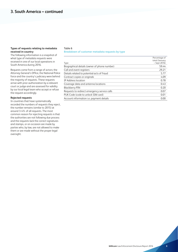#### **Types of requests relating to metadata received in-country**

The following information is a snapshot of what type of metadata requests were received in one of our local operations in South America during 2016.

Requests come from a range of actors; the Attorney General's Office, the National Police force and the country's judiciary were behind the majority of requests. These requests arrive with prior authorization by a relevant court or judge and are assessed for validity by our local legal team who accept or refuse the request accordingly.

#### **Rejected requests**

In countries that have systematically recorded the numbers of requests they reject, the number remains (similar to 2015) at around 3-4% of all requests. The most common reason for rejecting requests is that the authorities are not following due process and the requests lack the correct signatures and stamps, or on occasion are made by parties who, by law, are not allowed to make them or are made without the proper legal oversight.

#### Table 6 **Breakdown of customer metadata requests by type**

| Type                                            | Percentage of<br>total (January<br>$-$ Sept 2016) |
|-------------------------------------------------|---------------------------------------------------|
| Biographical details (owner of phone number)    | 59.44                                             |
| Call and event registers                        | 29.21                                             |
| Details related to potential acts of fraud      | 5.77                                              |
| Contract copies or originals                    | 4.09                                              |
| IP Address location                             | 0.78                                              |
| Coverage data and antenna locations             | 0.43                                              |
| <b>Blackberry PIN</b>                           | 0.20                                              |
| Requests to redirect emergency service calls    | 0.07                                              |
| PUK Code (code to unlock SIM card)              | 0.01                                              |
| Account information <i>i.e.</i> payment details | 0.00                                              |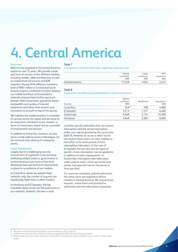## **4. Central America**

#### **Overview**

Millicom has operated in the Central America region for over 25 years. We provide a wide spectrum of services in five different markets, including mobile, cable and fixed line, as well as mobile financial services and B2B solutions. During 2016, Millicom invested a total of \$961 million in Central and South America regions combined to further develop our mobile and fixed communications networks and purchase further spectrum licenses. Both investments guarantee better bandwidths and quality of internet experience and allow more services and innovation to be built on top of this access.

We hold the top market position in a number of services across the region and we serve as an important contributor to our markets, in terms of investment, taxes<sup>8</sup> and as a provider of employment and services.

In addition to these four countries, we also have a small cable business in Nicaragua, for the moment only catering for enterprise clients.

#### **Legal frameworks**

Largely due to a challenging security environment of organized crime and drug trafficking related violence, governments in Central America have some of the most developed laws and technical requirements in place for surveillance of our markets.

In Costa Rica, where we operate fixed networks only, the number of requests are significantly lower than in other markets.

In Honduras and El Salvador, the law mandates direct access for the authorities to our networks. However, the laws in both

Table 7

**Customers in Central American region by business unit**

|                 | Mobile             | Cable             | <b>MFS</b>        |
|-----------------|--------------------|-------------------|-------------------|
|                 | customers<br>'000' | customers<br>'000 | customers<br>'000 |
| Central America | 17.529             | 1.034             | 2.247             |

#### Table 8

#### **Customers, workforce and population in Central America**

| Country     | Mobile<br>customers<br>'000' | Workforce <sup>9</sup> | Population<br>'000 |
|-------------|------------------------------|------------------------|--------------------|
| Costa Rica  | $N/A^{10}$                   | 708                    | 4,900              |
| El Salvador | 3,213                        | 1.377                  | 6,400              |
| Guatemala   | 9.468                        | 4.154                  | 16,300             |
| Honduras    | 4.848                        | 2,385                  | 8.600              |

countries specify authorities that can request interception and the actual interception orders can only be granted by the courts (see table 9). However, as access is direct we do not receive these orders nor have visibility to how often or for what periods of time interception takes place. In the case of El Salvador, the law also lists the types of specific crimes interception can be applied to in addition to other requirements. In Guatemala, interception also takes place under judicial orders, which we receive and review, and open the line for the period of time specified.

For customer metadata, judicial orders from the same courts are required in all four markets in Central America. We receive these requests, review them and provide the authorities with the information requested.

<sup>8</sup> We report income taxes paid by region in our Annual report 2016, page 23.

Workforce accounts for both employees directly employed by Millicom and outsourced workers.

<sup>10</sup> Millicom does not have mobile operations in Costa Rica, providing only cable and B2B services in which it is the market leader.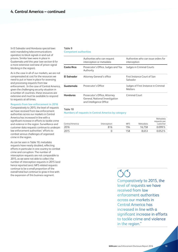In El Salvador and Honduras special laws exist mandating telecommunications operators to block signals in and out of prisons. Similar laws were in place in Guatemala until this year (see section 6 for a more extensive overview of prison signal blocking in the region).

As is the case in all of our markets, we are not compensated at cost for the resources we need to put or have in place for assessing and processing requests from law enforcement. In the case of Central America, given the challenging security situation in a number of countries, these resources are extensive and must be available to respond to requests at all times.

#### **Requests from law enforcement in 2016**

Comparatively to 2015, the level of requests we have received from law enforcement authorities across our markets in Central America has increased in line with a significant increase in efforts to tackle crime and violence in the region. Surveillance and customer data requests continue to underpin law enforcement authorities' efforts to combat serious challenges of organized crime in the region.

As can be seen in Table 10, metadata requests have nearly doubled, reflecting efforts in particular in one country to combat crime and corruption. The number of interception requests are not comparable to 2015, as we were not able to collect the number of interception requests in 2015 (and hence reported zero). MFS related requests continue to be a small proportion of the overall total but continue to grow in line with the expansion of this business segment.

#### Table 9 **Competent authorities**

|                 | Authorities who can request<br>interception or metadata                                     | Authorities who can issue orders for<br>interception   |
|-----------------|---------------------------------------------------------------------------------------------|--------------------------------------------------------|
| Costa Rica      | Prosecutor's Office, Judges and Tax<br>Authority                                            | Judges in Criminal Courts                              |
| El Salvador     | Attorney General's office                                                                   | First Instance Court of San<br>Salvador                |
| Guatemala       | Prosecutor's Office                                                                         | Judges of First Instance in Criminal<br><b>Matters</b> |
| <b>Honduras</b> | Prosecutor's Office, Attorney<br>General, National Investigation<br>and Intelligence Office | Criminal Court                                         |

#### Table 10

**Numbers of requests in Central America by category**

| Central America | Interception | <b>MFS</b> | Metadata | Metadata<br>requests per<br>customer |
|-----------------|--------------|------------|----------|--------------------------------------|
| 2016            | 816          | 194        | 16.758   | $0.099\%$                            |
| 2015            |              | 158        | 8.653    | 0.052%                               |

 $\binom{6}{1}$ 

Comparatively to 2015, the level of requests we have received from law enforcement authorities across our markets in Central America has increased in line with a significant increase in efforts to tackle crime and violence in the region."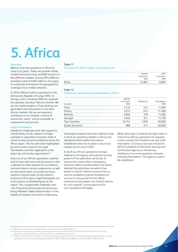## **5. Africa**

#### **Overview**

Millicom has had operations in Africa for close to 25 years. Today, we provide mobile, mobile financial services and B2B solutions in five different markets. During 2016, Millicom invested a total of \$160 million in the region to modernize and expand the geographical coverage of our mobile networks.

In 2016, Millicom sold its operations in the Democratic Republic of Congo (DRC) to Orange, and in Tanzania, Millicom acquired the operator, Zanzibar Telecom (Zantel). We are the market leader in Chad, while we are generally in second position in our other African markets. We are an important contributor to our markets, in terms of investment, taxes<sup>11</sup> and as a provider of employment and services.

#### **Legal frameworks**

Significant challenges exist with regards to overall clarity of laws, absence of legal oversight or separation of powers when it comes to laws around surveillance across the Africa region. This has also been highlighted by some recent research into legal frameworks and their application in the region by civil society organizations.<sup>13</sup>

Only one of our African operations could be said to have clear laws and processes on who is allowed to make requests for surveillance, customer data or service suspensions, as well as how and in what circumstances those requests may be made. As described in section 6 of this report, legal frameworks are in the process of developing across the region. This, coupled with challenges with rule of law and existing laws and processes being followed, makes determination of the legality of requests we receive challenging.

#### Table 11

**Customers in Africa region by business unit**

|        | Mobile<br>customers<br>'000 | <b>MFS</b><br>customers<br>'000 |
|--------|-----------------------------|---------------------------------|
| Africa | 24,681                      | 8,084                           |

#### Table 12

#### **Customers, workforce and population in Africa**

| Country                       | Mobile<br>customers<br>'000 | Workforce | Population<br>'000 |
|-------------------------------|-----------------------------|-----------|--------------------|
| Chad                          | 3,132                       | 447       | 11,900             |
| Ghana                         | 3,933                       | 674       | 27,400             |
| Rwanda                        | 2,966                       | 278       | 11,600             |
| Senegal                       | 3.646                       | 321       | 15,100             |
| Tigo Tanzania                 | 10,743                      | 1,056     | 50,600             |
| Zantel Tanzania <sup>12</sup> | 988                         | 215       | 50,600             |

Interception powers have been defined in law in all of our operating markets in Africa, but standards-based lawful interception installations were not in place in any of our markets at the end of 2016.

In all of our African operations the laws relating to emergency and national security powers of the authorities are broad. In essence this means that in emergency situations (which are themselves not clearly defined) the authorities are within their powers to ask for extreme actions from us, such as complete or partial shutdowns of services for any period of time. When national security powers are cited as reasons for such requests, strong sanctions for non-compliance will apply.

While some type of judicial oversight exists in most of our African operations for requests, in two countries the President can also order interception. In Chad, a law was enacted in 2015 to establish an Electronic Security and Certification Agency to oversee any interference to communications networks, including interception. This agency is yet to be established.

We report income taxes paid by region in our Annual report 2016, page 23

12 Zantel is a brand which operates on mainland Tanzania and the island of Zanzibar. We are required to report our subscribers separately from our Tigo brand from a regulatory perspective.

13 CIPESA: State of internet freedom in Africa [http://cipesa.org/?wpfb\\_dl=225;](http://cipesa.org/?wpfb_dl=225) PIN: [http://pinigeria.org/2016/wp-content/](http://pinigeria.org/2016/wp-content/uploads/documents/research/Digital%20Rights%20In%20Africa%20Report%202016%20%28HR%29.pdf) [uploads/documents/research/Digital%20Rights%20In%20Africa%20Report%202016%20%28HR%29.pdf](http://pinigeria.org/2016/wp-content/uploads/documents/research/Digital%20Rights%20In%20Africa%20Report%202016%20%28HR%29.pdf)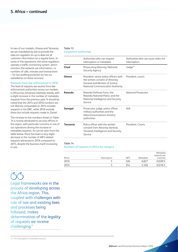In two of our markets, Ghana and Tanzania, we are mandated by law to provide the telecom regulator an up to date list of customer information on a regular basis. In some of the operations, the same regulators operate a traffic monitoring system, which monitors the network use information, i.e. numbers of calls, minutes and transactions – for tax auditing purposes (to tax our subsidiaries on these services).

#### **Requests from law enforcement in 2016**

The level of requests we receive from law enforcement authorities across our markets in Africa has remained relatively steady, with a slight increase in the number of metadata requests from the previous year. It should be noted that the 2015 and 2016 numbers are not directly comparable as 2015 includes requests in the DRC, while 2016 exclude these but include requests made to Zantel.

The increase to the numbers shown in Table 14 is mostly attributed to security efforts in the region, with particular concerns in one of our operations driving the increase in metadata requests. As can be seen from the table below, there has been a very slight decrease in the number of MFS related requests witnessed in 2016 compared to 2015, despite the business itself increasing in size.

#### Table 13 **Competent authorities**

|          | Authorities who can request<br>interception or metadata                                                                                           | Authorities who can issue orders for<br>interception |
|----------|---------------------------------------------------------------------------------------------------------------------------------------------------|------------------------------------------------------|
| Chad     | Prosecuting Attorney, National<br>Security Agency                                                                                                 | Judge <sup>14</sup>                                  |
| Ghana    | President, senior police officers with<br>the written consent of Attorney<br>General and Minister of Justice.<br>National Communication Authority | President. courts                                    |
| Rwanda   | Rwanda Defense Force, the<br>Rwanda National Police, and the<br>National Intelligence and Security<br>Service                                     | National Prosecutor                                  |
| Senegal  | Prosecutor, judge, police officer,<br>military authorities and the<br>telecommunications ministry<br>authorities                                  | N/A                                                  |
| Tanzania | Police officer with the written<br>consent from Attorney General,<br>Tanzania Intelligence and Security<br>Service                                | President, Courts                                    |
|          |                                                                                                                                                   |                                                      |

#### Table 14

**Numbers of requests in Africa by category**

|        |              |            |          | Metadata<br>requests per |
|--------|--------------|------------|----------|--------------------------|
| Africa | Interception | <b>MFS</b> | Metadata | customer                 |
| 2016   |              | 326        | 6.827    | 0.028%                   |
| 2015   |              | 354        | 5.326    | $0.018\%$                |

Legal frameworks are in the process of developing across the Africa region. This, coupled with challenges with rule of law and existing laws and processes being followed, makes determination of the legality of requests we receive challenging."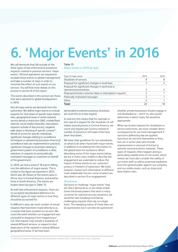# **6. 'Major Events' in 2016**

We call demands that fall outside of the three types of law enforcement assistance requests covered in previous sections 'major events'. All local operations are required to escalate these events to global management and take a number of steps in order to minimize the effect of such events on our services. You will find more details on this process in section 8 of this report.

The events described in this section are those that were reported to global headquarters in 2016.

Not all major events are demands from the authorities. We define major events to include requests for shut down of specific base station sites, geographical areas or entire network, service denial or restriction (SMS, mobile/fixed internet, social media channels), interception requests outside of due process, targeted take-down or blocking of specific content<sup>15</sup>, denial of access for specific individuals, significant changes relating to surveillance techniques or operational processes (how local surveillance laws are implemented in practice), significant changes to local laws relating to government powers of surveillance or data retention, or requests to send politically motivated messages to customers on behalf of the government.

In 2016, we had a total of 18 events falling into the definition of major events. This is similar to the figure we reported in 2015, which was 20. Eleven of the events were in Africa, four in Central America, and another three in South America. The events are broken down by type in Table 15.

As with law enforcement requests, there are no accepted standardized definitions for different types of major events or how they should be accounted for.

In Millicom's case, we count number of actual requests that have been made directly to us, or events that have involved our services. We count the event whether our engagement was successful in stopping it from happening or not. One request may include a shutdown of several different services, or request to shut down parts of the network in several different geographical areas. If we have been

#### Table 15

**Major events in 2016 by type**

| 8    |      |
|------|------|
| 2015 | 2016 |
|      |      |

demanded to extend a previous shutdown, we count this as a new request.

In practice this means that for example in the case of a request for the shutdown of cell towers around prisons in Central America, we count one request per country instead of number of prisons or cell towers that have been shut down.

We have clear guidelines for our subsidiaries on what to do when faced with major events, in addition to escalating the information to the global team for assistance. When describing some of the major events below, we are in most cases unable to describe the engagement we undertake to reduce the impact of these events to our customers' privacy or freedom of expression. We have, however, shared such information in different multi-stakeholder forums, some of which are described in section 9 on engagement.

#### **Shutdowns**

Decisions to challenge 'major events' that are direct demands to us are rarely simple. Given the broad powers that exist in many countries for national security situations, we would be seen breaking local law by challenging requests that rely on a legal basis. The sweeping nature of those laws can be questioned, but it can also be questioned

whether private businesses should engage in civil disobedience – and if so, who would determine in which cases this would be appropriate.

When we receive requests for shutdowns or service restrictions, we must consider direct consequences for our local management if sanctions defined by law are applied. Sanctions do not limit themselves to fines, but can in some cases also include imprisonment or removal of license to operate communications networks. These types of requests often happen during a particularly volatile time of civil unrest, which means we must also consider the safety of our entire staff as well as potential retaliation from the general public against our company and our visible assets, such as shops and base station sites.

<sup>15</sup> With the exception of blocking of child sexual abuse content, which in 2016 took place only in Colombia.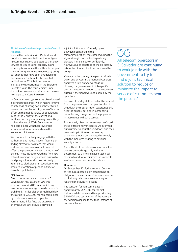#### **Shutdown of services in prisons in Central America**

Since 2014, authorities in El Salvador and Honduras have enacted laws that oblige all telecommunications operators to shut down services or reduce signal capacity in and around prisons, where the authorities suspect criminal gangs continue to operate by using cell phones that have been smuggled into the premises. Guatemala also enacted similar laws in 2014, but the relevant legislation was overturned in the Supreme Court last year. The issue remains under discussion, however, and similar debates are taking place in Costa Rica also.

In Central America, prisons are often located in central urban areas, which means removal of antennas, shutting down of base station towers, and installation of 'jammers' has an effect on the mobile service of populations living in the vicinity of the correctional facilities, and may disrupt every day activity, such as the use of ATMs. Sanctions for non-compliance with these law orders include substantial fines and even the revocation of licenses.

We continue to actively engage with the authorities and industry peers, focusing on finding alternative solutions that would address the issue in a way that does not affect the population living in the vicinity of prisons. These include everything from new network coverage design around prisons to third party solutions that work similarly to jammers to block signals in specific physical areas, to relocation of prisons outside of densely populated areas.

#### **El Salvador**

Due to the increase in extortions in El Salvador, an Anti-Extortion Law was approved in April 2015 under which any telecommunications signal inside prisons is prohibited. This legislation established daily fines of up to \$750,000 for non-compliance by a telecommunications operator. Furthermore, if five fines are given within one year, our license could be revoked.

A joint solution was informally agreed between operators and the telecommunications regulator, reducing the signal strength and activating existing blockers. This did not work efficiently, however, due to sabotage of the blockers by prison staff (under direct pressure from the gangs).

Violence in the country hit a peak in March 2016, and on April 1 the National Congress approved a Law on Special Measures allowing the government to take specific drastic measures in relation to at least seven prisons, if the signal was not blocked by the operators.

Because of this legislation, and at the request from the government, the operators had to shut down their base station towers, not only near the prisons, but also in surrounding areas, leaving a large part of the population in these areas without a service.

Immediately after the government enforced these extraordinary measures, we informed our customers about the shutdowns and their possible implications on our service, explaining that we are obligated to comply with the measures relating to national security efforts.

Currently all of the telecom operators in the country are working jointly with the government to try to find a joint technical solution to reduce or minimize the impact to service of customers near the prisons.

#### **Honduras**

On September 2015, the National Congress of Honduras passed a law establishing an obligation for telecommunications operators to block any telecommunications signal reaching the country's prisons.

The sanction for non-compliance is approximately \$420,000 for the first instance, while the second is approximately \$840,000, and termination of the license is the sanction applied to the third instance of non-compliance.

### $\zeta(\zeta)$

All telecom operators in El Salvador are continuing to work jointly with the government to try to find a joint technical solution to reduce or minimize the impact to service of customers near the prisons."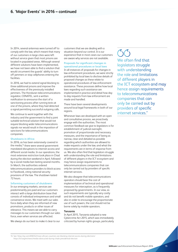In 2014, several antennas were turned off to comply with the law, which meant that many of our customers in large cities were left without service given that most prisons are located in populated areas. Although several different solutions have been implemented, we have not been able to find a solution that would circumvent the guards' ability to turn off jammers or stop cellphones entering the facilities.

In 2016, we had to extend signal blocking to three additional prisons and improve the effectiveness of the previously installed jammers. The Honduran telecommunications regulator, CONATEL, sent a written notification to announce the start of a sanctioning process after running tests at one of the prisons, where they had detected a signal permitting successful outgoing calls.

We continue to work together with the industry and the government to find a joint suitable technical solution that would not require blocking wider telecommunications signals nor would result in the imposition of sanctions for telecommunications companies.

#### **Shutdowns in Africa**

In 2016, as has been extensively covered in the media,<sup>16</sup> there were several governmentmandated disruptions to internet access and different social media. In our operations, the most extensive restriction took place in Chad during the election weekend in April, followed by a social media ban lasting several months. In March, the authorities ordered telecommunications providers to block access to Facebook, citing national security provisions of the law. The shutdown lasted 72 hours.

#### **Informing customers of shutdowns**

In our emerging markets, services are predominantly pre-paid and our customers interact with a large distribution base that consists of individual entrepreneurs and small convenience stores. We meet with our sales force daily when they are informed of new promotions, products or other issues of relevance. This means we are able to carry messages to our customers through our sales force, even when services are affected.

We always do our best to make it clear to our

customers that we are dealing with a situation beyond our control. It is our experience that in most cases our customers are aware why services are not available.

#### **Proposals for significant changes in**

**operational procedures or local laws** In all instances of proposals for changes in law enforcement procedures, we were strictly prohibited by local laws to disclose details of proposed changes as these relate to operational procedures of law enforcement assistance. These processes define how local laws regarding such assistance are implemented in practice and detail how day to day requests from law enforcement are made and handled.

There have been several developments around local legal frameworks in both of our regions.

Whenever laws are developed with an open and consultative process, we proactively engage with the authorities. The most common feedback we give to legislators is for establishment of judicial oversight, promotion of proportionate and necessary measures, and the importance of being as narrow, clear and detailed as possible regarding which authorities are allowed to make requests under the law, and what the requirements are in terms of response from us. We also often find that legislators struggle with understanding the role and limitations of different players in the ICT ecosystem and may hence assign requirements to telecommunications companies that can only be carried out by providers of specific internet services.

We also disagree that telecommunications operators should bear the cost of implementation of technical and operational measures for interception, as is frequently proposed by governments. In our view, as such requirements are typically very costly and do not benefit mobile operators, and also in order to encourage the proportionate use of such powers, the cost should not be borne solely by mobile operators.

#### **Tanzania**

In April 2015, Tanzania adopted a new Cybercrime Act 2015, which was immediately criticized by human rights groups, particularly

 $(\zeta(\zeta))$ We often find that legislators struggle with understanding the role and limitations of different players in the ICT ecosystem and may hence assign requirements to telecommunications companies that can only be carried out by providers of specific internet services."

#### 16 See: https://qz.com/696552/more-african-countries-are-blocking-internet-access-during-elections/

https://rsf.org/en/news/media-obstructed-during-chads-presidential-election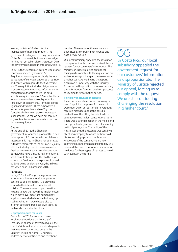relating to Article 16 which forbids "publication of false information". The government had agreed to carry out a review of the Act as a result, but to our knowledge this has not yet taken place. Instead, in 2016, the government has begun enforcing Article 16.

In 2016, the telecommunications regulator of Tanzania enacted Cybercrime Act Regulations outlining more clearly the legal obligations of service providers such as Tigo and Zantel with regards to the Cybercrime law. The regulation includes obligations to provide customer metadata information to competent authorities as well as data retention requirements for 12 months. These regulations also describe obligations for take-down of content that 'infringes on the rights of individuals'. There is, however, a recourse for providers such as Tigo and Zantel to challenge take-down requests on legal grounds. So far, we have not received any content take-down requests based on this new regulation.

#### **Ghana**

At the end of 2015, the Ghanaian government introduced a proposal for a new Interception of Postal Packets and Telecom Messages Bill. Tigo in Ghana has submitted extensive comments to the bill in 2016 jointly with the industry. The bill has also received feedback from civil society and opposition parties, who have criticized Parliament for a short consultation period. Due to the large amount of feedback on the proposal, as well as 2016 being an election year, the Bill was not voted on in Parliament in 2016.

#### **Paraguay**

In July 2016, the Paraguayan government introduced a law for mandatory parental controls to be provided by ISPs providing access to the internet for families with children. There are several open questions relating to how the law will be implemented, which may have important human rights implications and which we are following up, such as whether it would apply also to internet cafes and free public wifi spots, as well as who provides the filters.

#### **Disproportionate requests**

Costa Rica in 2016 introduced a new resolution that allows the Ministry of Treasury (in charge of taxes) to request the country's internet service providers to provide their entire customer data base to the Ministry - including name, ID number, address, service contracted and telephone

number. The reason for the measure has been cited as controlling tax revenue and possible tax evasion.

Our local subsidiary appealed the resolution as disproportionate after we received the first request for our customers' information. The Ministry of Justice rejected our appeal, forcing us to comply with the request. We are still considering challenging the resolution in a higher court. As we finalize this report, discussion is under way with the Industry Chamber on the practical process of sending this information, focusing on the importance of keeping the information secure.

#### **Politically motivated messages**

There are cases where our services may be used for political purposes. At the end of December 2016, our customers in Paraguay received messages about the possible re-election of the sitting President, who is currently serving his last constitutional term. There was a strong reaction in the media and our Tigo subsidiary was accused of spreading political propaganda. The reality of the matter was that the message was sent by a client of a company to whom we have sold SMS advertising space and without our knowledge of the content. We are now examining arrangements highlighted by this case and the need to introduce new internal guidance for these types of services to avoid such events in the future.

### $\bigcap$

In Costa Rica, our local subsidiary appealed the government request for our customers' information as disproportionate. The Ministry of Justice rejected our appeal, forcing us to comply with the request. We are still considering challenging the resolution in a higher court."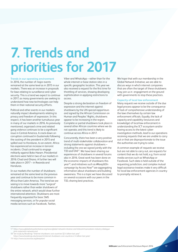# **7. Trends and priorities for 2017**

**Trends in our operating environment**  In 2016, the number of major events remained at the same level as in 2015 in our markets. There was an increase in proposals for laws relating to surveillance and cyber security. This is a trend we expect to continue in 2017, as many governments are seeking to understand how new technologies can help them in their national security efforts.

Political and other events in our markets naturally impact developments relating to privacy and freedom of expression. In this respect, it has been another tumultuous year in many of our markets in 2016. As previously mentioned, organized crime and related gang violence continues to be a significant issue in Central America. A crack-down on corruption continued in Guatemala following the ousting of the president in 2015 and spilled over to Honduras, to an extent. Africa has experienced an increase in terrorist incidents. Chad continued to engage militarily against Boko Haram. Presidential elections were held in two of our markets in 2016: Chad and Ghana. A further two will take place in 2017 – in Rwanda and **Honduras** 

In our markets the number of shutdowns remained at the same level as the previous year and continue to be more common in Africa than Latin America. The trend we are seeing is to move towards more "surgical" shutdowns rather than wider shutdowns of the entire network, which would draw further international attention. Shutdowns are most frequently requested for basic SMS messaging services, or for popular social media services such as Facebook, Twitter,

Viber and WhatsApp – rather than for the whole internet or base station sites in a specific geographic location. This year we also received a request for the first time for throttling of services, showing developing sophistication in applying restrictions to access.

Despite a strong declaration on freedom of expression and the internet against shutdowns by the UN special rapporteurs and signed by the African Commission on Human and Peoples' Rights, shutdowns appear to be increasing in the region. Complete or partial shutdowns took place in several other African countries where we do not operate, and this trend is likely to continue across Africa in 2017.

Concurrently, there has been a very positive trend of multi-stakeholder collaboration and strong statements against shutdowns – including the one we signed jointly with the TID and GNI<sup>17</sup>. We have been sharing our experiences of shutdowns in several forums also in 2016. Great work has been done on the economic impacts of shutdowns this year18, and initiatives such as #KeepItOn campaign by Access Now<sup>19</sup> are aggregating information about shutdowns and building awareness. This is a topic we have discussed on several occasions with our peers in the TID, sharing best practices.

We hope that with our membership in the Global Network Initiative, we are able to discuss ways in which internet companies that are often the target of these shutdowns may join us in engagement on the ground with governments to stop these practices.

#### **Capacity of local law enforcement**

Many requests we receive outside of the due legal process appear to be the consequence of lack of comprehensive understanding of the laws themselves by certain law enforcement officials. Equally, the lack of capacity and capability (resources and knowledge) of local law enforcement in understanding the ICT ecosystem and/or having access to the latest cyberinvestigation methods, lead to our operations receiving requests that we are unable to carry out or that are disproportionate to the issue the authorities are trying to solve.

A common example of requests we receive but are not able to carry out, are requests for content that we do not hold, e.g. from social media services such as WhatsApp or Facebook. Such data is held outside of the requesting jurisdiction, and complex mutual legal assistance treaties make it very difficult for local law enforcement agencies in country to promptly retrieve it.

<sup>17</sup> https://www.globalnetworkinitiative.org/news/global-network-initiative-and-telecommunications-industry-dialoguejoint-statement-network-and

<sup>18</sup> See study by Brookings "Internet shutdowns cost countries \$2.4 billion last year"

https://www.brookings.edu/research/internet-shutdowns-cost-countries-2-4-billion-last-year/

<sup>19</sup> https://www.accessnow.org/keepiton.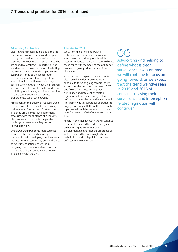#### **Advocating for clear laws**

Clear laws and processes are crucial tools for telecommunications companies to respect privacy and freedom of expression of our customers. We operate local subsidiaries who are bound by local laws – imperfect or not – and we do not have the option of selecting the laws with which we will comply. Hence, even when it may be the longer route, advocating for clearer laws - respecting international conventions and narrowly defining who, how and in what circumstances law enforcement requests can be made - are crucial to protect privacy and free expression. This is a core instrument to promote proportionate use of such powers.

Assessment of the legality of requests would be much simplified to benefit both privacy and freedom of expression of citizens, and also bring efficiency to law enforcement processes, with the existence of clear laws. Clear laws would also better help us to challenge requests when they are not following the law.

Overall, we would welcome more technical assistance that includes human rights considerations to developing countries from the international community both in the area of cyber-investigations, as well as in designing transparent and clear laws around surveillance. This is something we hope to also explore with the GNI.

#### **Priorities for 2017**

We will continue to engage with all stakeholder groups around the issue of shutdowns, and further promote related internal guidance. We are also keen to discuss these issues with members of the GNI to see how we can jointly address some of the challenges.

Advocating and helping to define what is clear surveillance law is an area we will continue to focus on going forward, as we expect that the trend we have seen in 2015 and 2016 of countries revising their surveillance and interception related legislation will continue. Having a clearer definition of what clear surveillance law looks like is a key way to support our operations to engage positively with the authorities on this topic. We will publish information on current legal frameworks of all of our markets with TID.

Finally, in external advocacy, we will continue to promote the need for further safeguards on human rights in international development aid and financial assistance as well as the need for human rights based technical support for legislators and law enforcement in our regions.

### $\zeta(\zeta)$

Advocating and helping to define what is clear surveillance law is an area we will continue to focus on going forward, as we expect that the trend we have seen in 2015 and 2016 of countries revising their surveillance and interception related legislation will continue."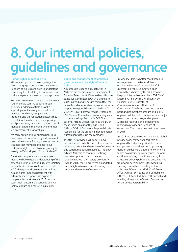## **8. Our internal policies, guidelines and governance**

#### **Human rights impact and risk**

Millicom recognized at an early stage the need to engage proactively on privacy and freedom of expression: both to understand human rights risk relating to our operations and put in place processes to manage them.

We have taken several steps to minimize our risks where we can, introducing Group guidelines, adding controls, as well as improving readiness of global and local teams to handle any 'major events' situations and the reputational issues they pose. Initial focus has been on improving local processes by providing support to local management and the teams who manage law enforcement relationships.

We carry out an annual human rights risk assessment of our operating environment to assess the risk level for major events or other requests that may pose threats to our customers' rights. For this country analysis we rely on VeriskMaplecroft's risk indices<sup>20</sup>.

Our significant presence in our markets means we have a good understanding of the potential risk situations and risk levels relating to specific situations. We have, nevertheless, in 2016 begun work on a more formalized human rights impact assessment with external expert support. We expect to complete this work in early 2017, and the assessment becoming a dynamic analysis tool we update and consult on a regular hasis

**Board and management committees – governance and oversight of human rights**

All corporate responsibility activities in Millicom are overseen by our independent Board of Directors (BoD) as well as Millicom's Executive Committee (EC). In a change to 2015, instead of a separate committee, the whole Board now receives regular updates on corporate responsibility topics. Millicom's CEO, EVP Chief External Affairs Officer, and EVP General Counsel are permanent guests at these briefings. Millicom's EVP Chief External Affairs Officer reports to the EC on these topics on a monthly basis, and Millicom's VP of Corporate Responsibility is responsible for the on-going management of human rights issues in the company.

In 2015, we provided Millicom's BoD a detailed report on Millicom's risk exposure in relation to privacy and freedom of expression and current mitigation measures. The BoD advised Millicom to continue its strong proactive approach and to deepen relationships with civil society on country level. In 2016, the BoD received an updated human rights risk assessment relating to privacy and freedom of expression.

In January 2014, to better coordinate risk management of the issue, Millicom established a cross-functional 'Lawful Interception Policy Committee' (LIP Committee) chaired by the VP Corporate Responsibility with as members: EVP Chief External Affairs Officer, VP Security, EVP General Counsel, Director of Communications, and Director of Compliance. The Group meets on a regular basis and its members prepare and jointly approve policies and processes, review 'major events' and arising risks, and approve Millicom's reporting and engagement relating to privacy and freedom of expression. The committee met three times in 2016.

In 2016, we began work on an aligned global privacy policy framework. Millicom's EC approved broad privacy principles for the company and guidelines and supporting decision guides were created for commercial teams on customer privacy issues. The work continues to bring more transparency to Millicom's privacy policies and practices. The framework development is followed by a steering committee consisting of four of Millicom's EC members (EVP Chief External Affairs Officer, EVP Ethics and Compliance Officer, CTIO and EVP General Counsel) and is led by VP Associate General Counsel and VP Corporate Responsibility.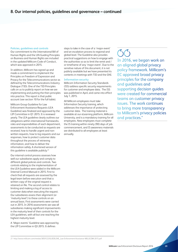#### **Policies, guidelines and controls**

Our commitment to the International Bill of Human Rights and the UN Guiding Principles on Business and Human Rights are included in the updated Millicom Code of Conduct, which was approved in 2015.

In addition, Millicom has signed up and made a commitment to implement the Principles on Freedom of Expression and Privacy for the Telecommunications sector as defined by the Telecommunications Industry Dialogue (TID). One of the TID Principles calls on us to publicly report on how we are implementing and putting the then principles into practice. This report is that public account (see section 10 for the full table).

Millicom Group Guideline for Law Enforcement Assistance Requests (LEA Guideline) was finalized and approved by the LIP Committee in Q1 2015. It is reviewed yearly. The LEA guideline clearly outlines our obligations within international frameworks, roles and responsibilities of each department, assessments to be conducted as requests are received, how to handle urgent and nonwritten requests, how to log requests and our responses, how to protect customer data throughout the process of retrieving information, and how to deliver the information safely. A shortened version of this quideline is available publicly.<sup>21</sup>

Our internal control process assesses how well our subsidiaries apply and comply to different global policies and controls. Two controls relating to the implementation of the LEA Guideline were added in the Millicom Internal Control Manual in 2015. First to check that all requests are assessed by the legal team before execution and that a written copy of the original request is retained on file. The second control relates to limiting and making a log of access to customer data when executing the request. Our subsidiaries assess their alignment (or 'maturity level') to these controls on an annual basis. First assessments were carried out in 2015. In 2016 assessments we saw all subsidiaries making significant improvements in the maturity level of their controls for the LEA guidelines, with all but one reaching the highest maturity level.

A 'Major events' Guideline was approved by the LIP Committee in Q3 2015. It defines

steps to take in the case of a 'major event' and an escalation process to regional and global level. The Guideline also provides practical suggestions on how to engage with the authorities so as to limit the remit and / or timeframe of any 'major event'. Due to the sensitive nature of this document, it is not publicly available but we have presented its contents in meetings with TID and the GNI.

#### **Information security**

Millicom Information Security Standards (ISS) address specific security requirements for customer and employee data. The ISS was published in April, and came into effect July 1, 2015.

All Millicom employees must take Information Security training, which addresses the importance of protecting customer data. The training material is available at our eLearning platform, Millicom University, and is a mandatory training for all employees. New employees must complete the IS training within ninety (90) days of job commencement, and IS awareness materials are distributed to all employees at least annually.

### $\zeta(\zeta)$

In 2016, we began work on an aligned global privacy policy framework. Millicom's EC approved broad privacy principles for the company and guidelines and supporting decision guides were created for commercial teams on customer privacy issues. The work continues to bring more transparency to Millicom's privacy policies and practices."

<sup>21</sup> http://www.millicom.com/media/3859122/GUIDELINE\_Law-Enforcement-Assistance-MILLICOM-2015.pdf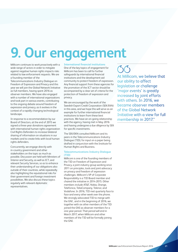### **9. Our engagement**

Millicom continues to work proactively with a wide range of actors in order to mitigate against negative human rights impacts risks related to law enforcement requests. We are a founding member of the Telecommunications Industry Dialogue on Freedom of Expression and Privacy and this year we will join the Global Network Initiative as full members, having spent 2016 as observer members. We have also engaged with a number of international organizations and took part in various events, contributing to the ongoing debate around freedom of expression and privacy, as it evolves in the context of a rapidly changing technological landscape.

In response to a recommendation by our Board of Directors, at the end of 2015 we signed a three-year donations agreement with international human rights organization Civil Rights Defenders to increase bilateral sharing of information on situations in our markets and to create links with local human rights defenders.

Concurrently, we engage directly with in-country government and other stakeholders on the topic as much as possible. Discussion are held with Ministers of Interior and Security, as well as ICT, and relevant Security Services, so as to enhance their understanding of our obligations also outside of their countries, while repeatedly also highlighting the reputational risks for their government and foreign investment possibilities. We also discuss these topics regularly with relevant diplomatic representatives.

#### **International financial institutions**

One of the key topics of engagement for Millicom has been to call for further safeguards by international financial institutions and the development aid community to protect freedom of expression. Any financial support from these agencies for the promotion of the ICT sector should be accompanied by a clear set of criteria for the protection of freedom of expression and privacy.

We are encouraged by the work of the Swedish Export Credit Corporation (SEK/EKN) in this area, and we hope this will serve as an example for further international financial institutions to learn from these best practices. We have an on-going relationship with the agency, having met in May 2016 and having undergone a due diligence by SEK for specific investments.

The SEK/EKN consulted Millicom and its peers in the Telecommunications Industry Dialogue (TID), for input on a paper being drafted in conjunction with the Institute for Human Rights and Business.

#### **Telecommunications Industry Dialogue (TID)**

Millicom is one of the founding members of the TID on Freedom of Expression and Privacy, a joint industry group working since 2011 on principles, tools and joint advocacy on privacy and freedom of expression challenges. Millicom's VP of Corporate Responsibility is a TID Board member and chaired the initiative in 2014-2015. Other members include AT&T, Nokia, Orange, Telefonica, TeliaCompany, Telenor, and Vodafone. In 2016, TID met quarterly face to face and every other week over the phone. We strongly advocated TID to merge with the GNI , and in the beginning of 2016, we together with six other members of the TID joined the GNI as observer members for a one-year period. That period will end in March 2017, when Millicom and other members of the TID will be formally joining the GNI.

 $\binom{3}{2}$ At Millicom, we believe that our ability to affect legislation or challenge 'major events' is greatly increased by joint efforts with others. In 2016, we became observer members of the Global Network Initiative with a view for full membership in 2017."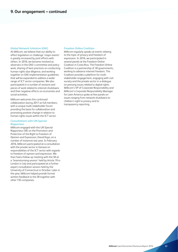#### **Global Network Initiative (GNI)**

At Millicom, we believe that our ability to affect legislation or challenge 'major events' is greatly increased by joint efforts with others. In 2016, we became involved as observers in the GNI's committee and policy work, sharing of best practices on conducting human rights due diligence, and working together on GNI implementation guidelines that will be expanded to address a wider range of ICT sector companies. We also participated in a number of sessions and pieces of work related to internet shutdowns and their negative effects on economies and social activities.

Millicom welcomes this continued collaboration during 2017 as full members, with a unique multi-stakeholder forum providing the basis for collaboration and promoting positive change in relation to human rights issues within the ICT sector.

#### **Consultations with UN Special Rapporteur**

Millicom engaged with the UN Special Rapporteur (SR) on the Promotion and Protection of the Right to Freedom of Opinion and Expression, David Kaye, on a number of instances last year. In February 2016, Millicom participated at a consultation with the private sector in Geneva on responsibilities of the ICT sector with regards to freedom of opinion and expression. We then had a follow up meeting with the SR at a 'brainstorming session' held by Article 19 in London in July and participated at a further expert consultation session held by the University of Connecticut in October. Later in the year, Millicom helped provide formal written feedback to the SR together with other TID companies.

#### **Freedom Online Coalition**

Millicom regularly speaks at events relating to the topic of privacy and freedom of expression. In 2016, we participated in several panels at the Freedom Online Coalition in Costa Rica. The Freedom Online Coalition is a partnership of 30 governments, working to advance internet freedom. The Coalition provides a platform for multistakeholder engagement, engaging with civil society and the private sector in a dialogue on pressing issues related to digital rights. Millicom's VP of Corporate Responsibility and Millicom's Corporate Responsibility Manager for Latin America spoke at five panels on issues ranging from network shutdowns to children's right to privacy and to transparency reporting.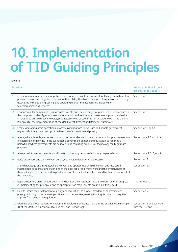## **10. Implementation of TID Guiding Principles**

#### Table 16

|                | <b>Principle</b>                                                                                                                                                                                                                                                                                                                                                                                             | <b>Where to find Millicom's</b><br>progress in this report |
|----------------|--------------------------------------------------------------------------------------------------------------------------------------------------------------------------------------------------------------------------------------------------------------------------------------------------------------------------------------------------------------------------------------------------------------|------------------------------------------------------------|
| 1.             | Create and/or maintain relevant policies, with Board oversight or equivalent, outlining commitment to<br>prevent, assess, and mitigate to the best of their ability the risks to freedom of expression and privacy<br>associated with designing, selling, and operating telecommunications technology and<br>telecommunications services;                                                                    | See section 8.                                             |
| 2.             | Conduct regular human rights impact assessments and use due diligence processes, as appropriate to<br>the company, to identify, mitigate and manage risks to freedom of expression and privacy - whether<br>in relation to particular technologies, products, services, or countries - in accordance with the Guiding<br>Principles for the Implementation of the UN 'Protect, Respect and Remedy' framework | See section 8.                                             |
| 3.             | Create and/or maintain operational processes and routines to evaluate and handle government<br>requests that may have an impact on freedom of expression and privacy                                                                                                                                                                                                                                         | See section 6 and 8.                                       |
| 4.             | Adopt, where feasible, strategies to anticipate, respond and minimise the potential impact on freedom<br>of expression and privacy in the event that a government demand or request is received that is<br>unlawful or where governments are believed to be mis-using products or technology for illegitimate<br>purposes                                                                                    | See sections 1, 2 and 6-9.                                 |
| 5.             | Always seek to ensure the safety and liberty of company personnel who may be placed at risk                                                                                                                                                                                                                                                                                                                  | See sections 1, 2, 6, and 8.                               |
| 6.             | Raise awareness and train relevant employees in related policies and processes                                                                                                                                                                                                                                                                                                                               | See section 8.                                             |
| 7.             | Share knowledge and insights, where relevant and appropriate, with all relevant and interested<br>stakeholders to improve understanding of the applicable legal framework and the effectiveness of<br>these principles in practice, and to provide support for the implementation and further development of<br>the principles;                                                                              | See section 9.                                             |
| 8.             | Report externally on an annual basis, and whenever circumstances make it relevant, on their progress<br>in implementing the principles, and as appropriate on major events occurring in this regard                                                                                                                                                                                                          | This full report.                                          |
| 9 <sub>1</sub> | Help to inform the development of policy and regulations to support freedom of expression and<br>privacy including, alone or in cooperation with other entities, seeking to mitigate potential negative<br>impacts from policies or regulations                                                                                                                                                              | See section 9.                                             |
|                | 10. Examine, as a group, options for implementing relevant grievance mechanisms, as outlined in Principle<br>31 of the UN Guiding Principles for Business and Human Rights.                                                                                                                                                                                                                                  | See section 9 and our work<br>with the TID and GNI.        |